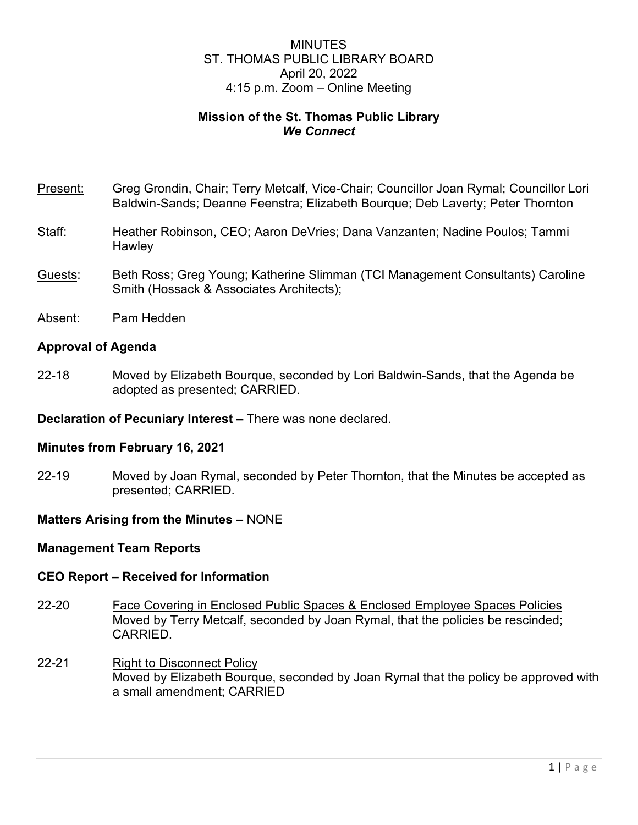# MINUTES ST. THOMAS PUBLIC LIBRARY BOARD April 20, 2022 4:15 p.m. Zoom – Online Meeting

# **Mission of the St. Thomas Public Library** *We Connect*

- Present: Greg Grondin, Chair; Terry Metcalf, Vice-Chair; Councillor Joan Rymal; Councillor Lori Baldwin-Sands; Deanne Feenstra; Elizabeth Bourque; Deb Laverty; Peter Thornton
- Staff: Heather Robinson, CEO; Aaron DeVries; Dana Vanzanten; Nadine Poulos; Tammi **Hawley**
- Guests: Beth Ross; Greg Young; Katherine Slimman (TCI Management Consultants) Caroline Smith (Hossack & Associates Architects);
- Absent: Pam Hedden

## **Approval of Agenda**

22-18 Moved by Elizabeth Bourque, seconded by Lori Baldwin-Sands, that the Agenda be adopted as presented; CARRIED.

**Declaration of Pecuniary Interest –** There was none declared.

## **Minutes from February 16, 2021**

22-19 Moved by Joan Rymal, seconded by Peter Thornton, that the Minutes be accepted as presented; CARRIED.

# **Matters Arising from the Minutes –** NONE

## **Management Team Reports**

## **CEO Report – Received for Information**

- 22-20 Face Covering in Enclosed Public Spaces & Enclosed Employee Spaces Policies Moved by Terry Metcalf, seconded by Joan Rymal, that the policies be rescinded; CARRIED.
- 22-21 Right to Disconnect Policy Moved by Elizabeth Bourque, seconded by Joan Rymal that the policy be approved with a small amendment; CARRIED